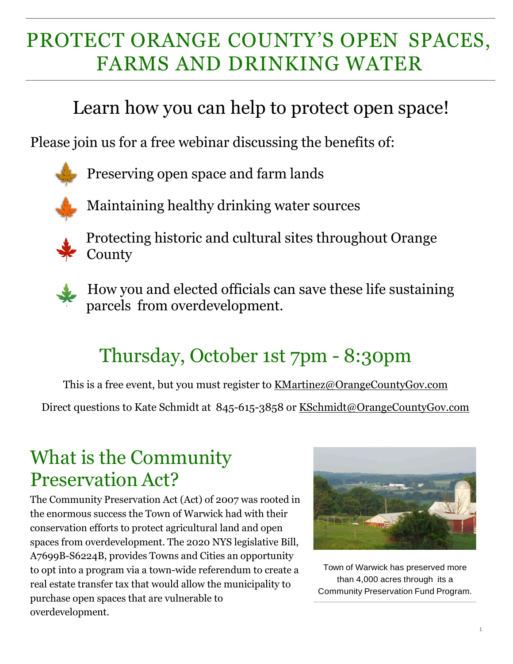# PROTECT ORANGE COUNTY'S OPEN SPACES, FARMS AND DRINKING WATER

### Learn how you can help to protect open space!

Please join us for a free webinar discussing the benefits of:

Preserving open space and farm lands



Maintaining healthy drinking water sources



Protecting historic and cultural sites throughout Orange County



 How you and elected officials can save these life sustaining parcels from overdevelopment.

## Thursday, October 1st 7pm - 8:30pm

This is a free event, but you must register to [KMartinez@OrangeCountyGov.com](mailto:KMartinez@OrangeCountyGov.com)

Direct questions to Kate Schmidt at 845-615-3858 or [KSchmidt@OrangeCountyGov.com](mailto:KSchmidt@OrangeCountyGov.com)

#### What is the Community Preservation Act?

The Community Preservation Act (Act) of 2007 was rooted in the enormous success the Town of Warwick had with their conservation efforts to protect agricultural land and open spaces from overdevelopment. The 2020 NYS legislative Bill, A7699B-S6224B, provides Towns and Cities an opportunity to opt into a program via a town-wide referendum to create a real estate transfer tax that would allow the municipality to purchase open spaces that are vulnerable to overdevelopment.



Town of Warwick has preserved more than 4,000 acres through its a Community Preservation Fund Program.